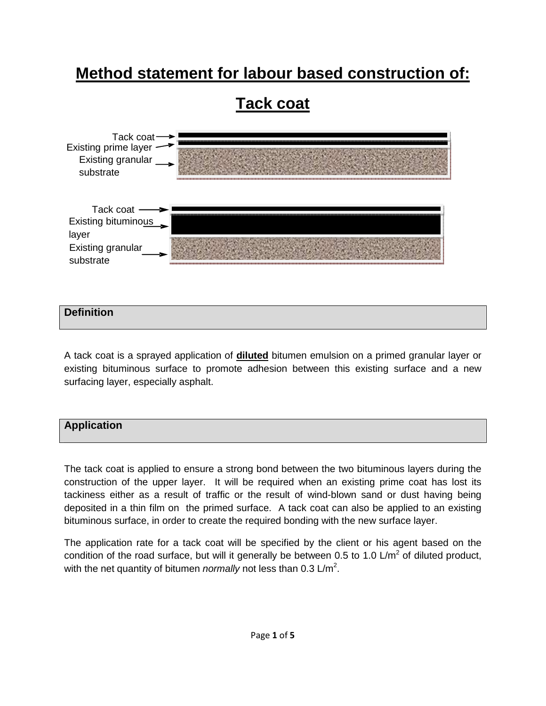# **Method statement for labour based construction of:**



## **Definition**

A tack coat is a sprayed application of **diluted** bitumen emulsion on a primed granular layer or existing bituminous surface to promote adhesion between this existing surface and a new surfacing layer, especially asphalt.



The tack coat is applied to ensure a strong bond between the two bituminous layers during the construction of the upper layer. It will be required when an existing prime coat has lost its tackiness either as a result of traffic or the result of wind-blown sand or dust having being deposited in a thin film on the primed surface. A tack coat can also be applied to an existing bituminous surface, in order to create the required bonding with the new surface layer.

The application rate for a tack coat will be specified by the client or his agent based on the condition of the road surface, but will it generally be between 0.5 to 1.0 L/m<sup>2</sup> of diluted product, with the net quantity of bitumen *normally* not less than  $0.3 \text{ L/m}^2$ .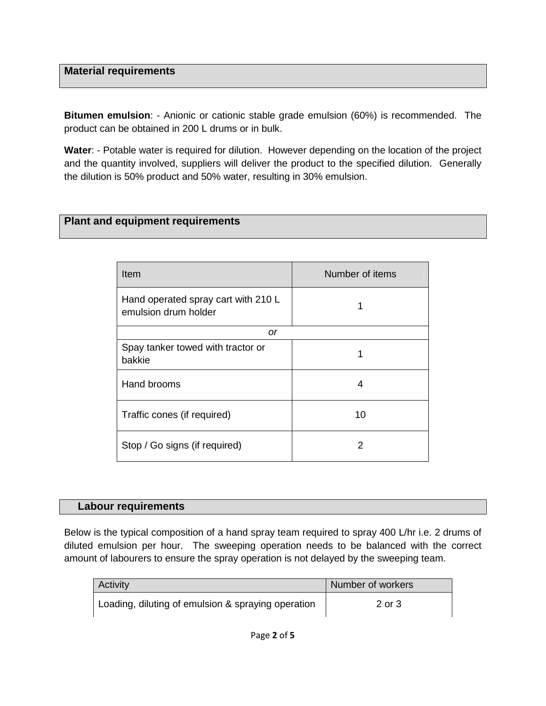# **Material requirements**

**Bitumen emulsion**: - Anionic or cationic stable grade emulsion (60%) is recommended. The product can be obtained in 200 L drums or in bulk.

**Water**: - Potable water is required for dilution. However depending on the location of the project and the quantity involved, suppliers will deliver the product to the specified dilution. Generally the dilution is 50% product and 50% water, resulting in 30% emulsion.

# **Plant and equipment requirements**

| Item                                                        | Number of items |  |
|-------------------------------------------------------------|-----------------|--|
| Hand operated spray cart with 210 L<br>emulsion drum holder | 1               |  |
| or                                                          |                 |  |
| Spay tanker towed with tractor or<br>bakkie                 |                 |  |
| Hand brooms                                                 | 4               |  |
| Traffic cones (if required)                                 | 10              |  |
| Stop / Go signs (if required)                               | 2               |  |

#### **Labour requirements**

Below is the typical composition of a hand spray team required to spray 400 L/hr i.e. 2 drums of diluted emulsion per hour. The sweeping operation needs to be balanced with the correct amount of labourers to ensure the spray operation is not delayed by the sweeping team.

| <b>Activity</b>                                    | Number of workers |
|----------------------------------------------------|-------------------|
| Loading, diluting of emulsion & spraying operation | 2 or 3            |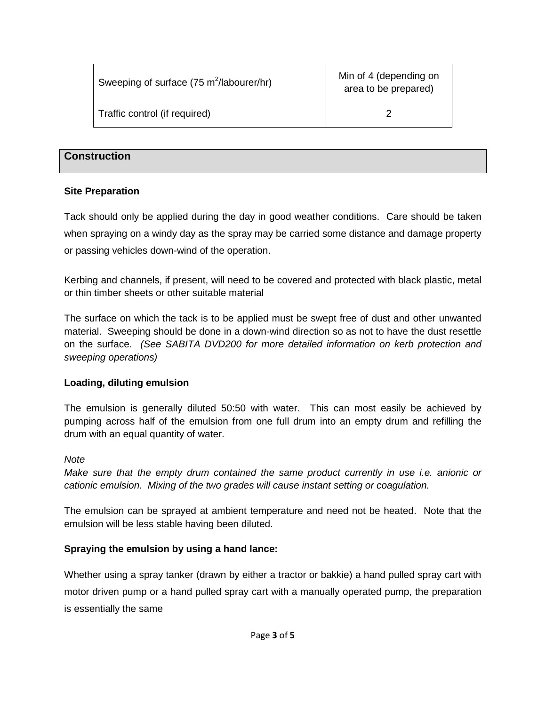| Sweeping of surface (75 m <sup>2</sup> /labourer/hr) | Min of 4 (depending on<br>area to be prepared) |
|------------------------------------------------------|------------------------------------------------|
| Traffic control (if required)                        |                                                |

## **Construction**

#### **Site Preparation**

Tack should only be applied during the day in good weather conditions. Care should be taken when spraying on a windy day as the spray may be carried some distance and damage property or passing vehicles down-wind of the operation.

Kerbing and channels, if present, will need to be covered and protected with black plastic, metal or thin timber sheets or other suitable material

The surface on which the tack is to be applied must be swept free of dust and other unwanted material. Sweeping should be done in a down-wind direction so as not to have the dust resettle on the surface. (See SABITA DVD200 for more detailed information on kerb protection and sweeping operations)

## **Loading, diluting emulsion**

The emulsion is generally diluted 50:50 with water. This can most easily be achieved by pumping across half of the emulsion from one full drum into an empty drum and refilling the drum with an equal quantity of water.

#### **Note**

Make sure that the empty drum contained the same product currently in use i.e. anionic or cationic emulsion. Mixing of the two grades will cause instant setting or coagulation.

The emulsion can be sprayed at ambient temperature and need not be heated. Note that the emulsion will be less stable having been diluted.

## **Spraying the emulsion by using a hand lance:**

Whether using a spray tanker (drawn by either a tractor or bakkie) a hand pulled spray cart with motor driven pump or a hand pulled spray cart with a manually operated pump, the preparation is essentially the same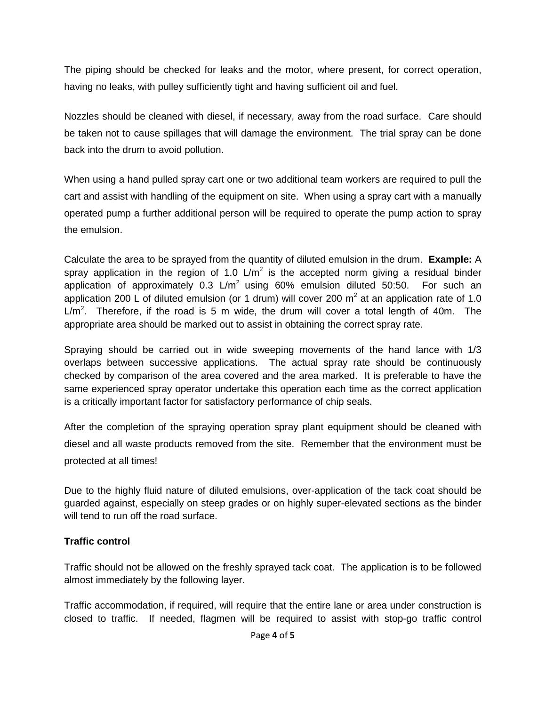The piping should be checked for leaks and the motor, where present, for correct operation, having no leaks, with pulley sufficiently tight and having sufficient oil and fuel.

Nozzles should be cleaned with diesel, if necessary, away from the road surface. Care should be taken not to cause spillages that will damage the environment. The trial spray can be done back into the drum to avoid pollution.

When using a hand pulled spray cart one or two additional team workers are required to pull the cart and assist with handling of the equipment on site. When using a spray cart with a manually operated pump a further additional person will be required to operate the pump action to spray the emulsion.

Calculate the area to be sprayed from the quantity of diluted emulsion in the drum. **Example:** A spray application in the region of 1.0  $\text{L/m}^2$  is the accepted norm giving a residual binder application of approximately  $0.3 \text{ L/m}^2$  using 60% emulsion diluted 50:50. For such an application 200 L of diluted emulsion (or 1 drum) will cover 200  $m^2$  at an application rate of 1.0  $L/m<sup>2</sup>$ . Therefore, if the road is 5 m wide, the drum will cover a total length of 40m. The appropriate area should be marked out to assist in obtaining the correct spray rate.

Spraying should be carried out in wide sweeping movements of the hand lance with 1/3 overlaps between successive applications. The actual spray rate should be continuously checked by comparison of the area covered and the area marked. It is preferable to have the same experienced spray operator undertake this operation each time as the correct application is a critically important factor for satisfactory performance of chip seals.

After the completion of the spraying operation spray plant equipment should be cleaned with diesel and all waste products removed from the site. Remember that the environment must be protected at all times!

Due to the highly fluid nature of diluted emulsions, over-application of the tack coat should be guarded against, especially on steep grades or on highly super-elevated sections as the binder will tend to run off the road surface.

# **Traffic control**

Traffic should not be allowed on the freshly sprayed tack coat. The application is to be followed almost immediately by the following layer.

Traffic accommodation, if required, will require that the entire lane or area under construction is closed to traffic. If needed, flagmen will be required to assist with stop-go traffic control